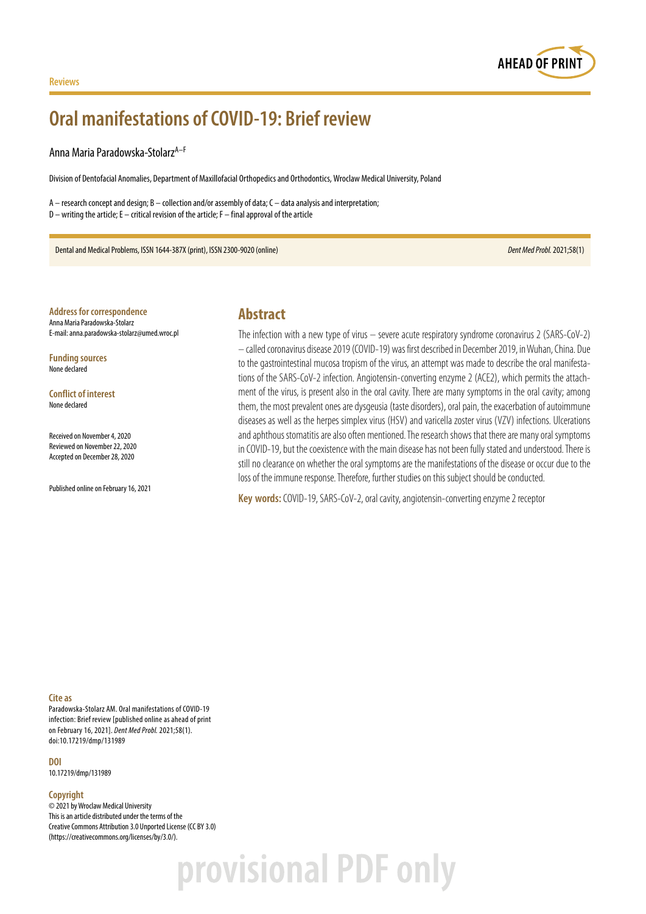

## **Oral manifestations of COVID-19: Brief review**

Anna Maria Paradowska-StolarzA–F

Division of Dentofacial Anomalies, Department of Maxillofacial Orthopedics and Orthodontics, Wroclaw Medical University, Poland

A – research concept and design; B – collection and/or assembly of data; C – data analysis and interpretation; D – writing the article; E – critical revision of the article; F – final approval of the article

Dental and Medical Problems, ISSN 1644-387X (print), ISSN 2300-9020 (online) *Dent Med Probl.* 2021;58(1)

**Address for correspondence** Anna Maria Paradowska-Stolarz E-mail: anna.paradowska-stolarz@umed.wroc.pl

**Funding sources** None declared

**Conflict of interest** None declared

Received on November 4, 2020 Reviewed on November 22, 2020 Accepted on December 28, 2020

Published online on February 16, 2021

#### **Abstract**

The infection with a new type of virus – severe acute respiratory syndrome coronavirus 2 (SARS-CoV-2) – called coronavirus disease 2019 (COVID-19) was first described in December 2019, in Wuhan, China. Due to the gastrointestinal mucosa tropism of the virus, an attempt was made to describe the oral manifestations of the SARS-CoV-2 infection. Angiotensin-converting enzyme 2 (ACE2), which permits the attachment of the virus, is present also in the oral cavity. There are many symptoms in the oral cavity; among them, the most prevalent ones are dysgeusia (taste disorders), oral pain, the exacerbation of autoimmune diseases as well as the herpes simplex virus (HSV) and varicella zoster virus (VZV) infections. Ulcerations and aphthous stomatitis are also often mentioned. The research shows that there are many oral symptoms in COVID-19, but the coexistence with the main disease has not been fully stated and understood. There is still no clearance on whether the oral symptoms are the manifestations of the disease or occur due to the loss of the immune response. Therefore, further studies on this subject should be conducted.

**Key words:** COVID-19, SARS-CoV-2, oral cavity, angiotensin-converting enzyme 2 receptor

#### **Cite as**

Paradowska-Stolarz AM. Oral manifestations of COVID-19 infection: Brief review [published online as ahead of print on February 16, 2021]. *Dent Med Probl.* 2021;58(1). doi:10.17219/dmp/131989

**DOI**

10.17219/dmp/131989

#### **Copyright**

© 2021 by Wroclaw Medical University This is an article distributed under the terms of the Creative Commons Attribution 3.0 Unported License (CC BY 3.0) [\(https://creativecommons.org/licenses/by/3.0/\)](https://creativecommons.org/licenses/by/3.0/).

## provisional PDF only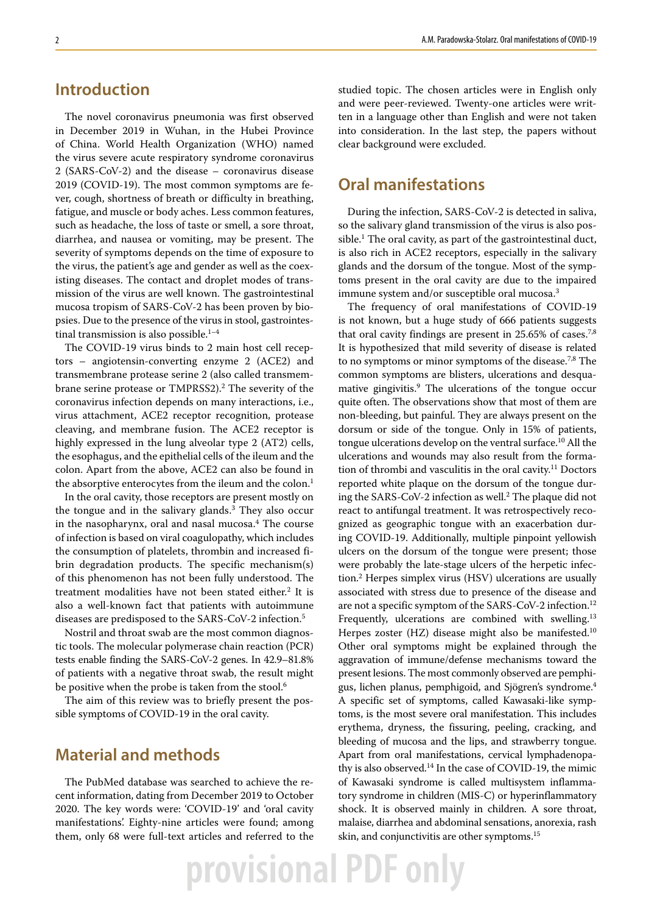### **Introduction**

The novel coronavirus pneumonia was first observed in December 2019 in Wuhan, in the Hubei Province of China. World Health Organization (WHO) named the virus severe acute respiratory syndrome coronavirus 2 (SARS-CoV-2) and the disease – coronavirus disease 2019 (COVID-19). The most common symptoms are fever, cough, shortness of breath or difficulty in breathing, fatigue, and muscle or body aches. Less common features, such as headache, the loss of taste or smell, a sore throat, diarrhea, and nausea or vomiting, may be present. The severity of symptoms depends on the time of exposure to the virus, the patient's age and gender as well as the coexisting diseases. The contact and droplet modes of transmission of the virus are well known. The gastrointestinal mucosa tropism of SARS-CoV-2 has been proven by biopsies. Due to the presence of the virus in stool, gastrointestinal transmission is also possible.  $^{1-4}$ 

The COVID-19 virus binds to 2 main host cell receptors – angiotensin-converting enzyme 2 (ACE2) and transmembrane protease serine 2 (also called transmembrane serine protease or TMPRSS2).2 The severity of the coronavirus infection depends on many interactions, i.e., virus attachment, ACE2 receptor recognition, protease cleaving, and membrane fusion. The ACE2 receptor is highly expressed in the lung alveolar type 2 (AT2) cells, the esophagus, and the epithelial cells of the ileum and the colon. Apart from the above, ACE2 can also be found in the absorptive enterocytes from the ileum and the colon.<sup>1</sup>

In the oral cavity, those receptors are present mostly on the tongue and in the salivary glands.<sup>3</sup> They also occur in the nasopharynx, oral and nasal mucosa.4 The course of infection is based on viral coagulopathy, which includes the consumption of platelets, thrombin and increased fibrin degradation products. The specific mechanism(s) of this phenomenon has not been fully understood. The treatment modalities have not been stated either.<sup>2</sup> It is also a well-known fact that patients with autoimmune diseases are predisposed to the SARS-CoV-2 infection.5

Nostril and throat swab are the most common diagnostic tools. The molecular polymerase chain reaction (PCR) tests enable finding the SARS-CoV-2 genes. In 42.9–81.8% of patients with a negative throat swab, the result might be positive when the probe is taken from the stool.<sup>6</sup>

The aim of this review was to briefly present the possible symptoms of COVID-19 in the oral cavity.

### **Material and methods**

The PubMed database was searched to achieve the recent information, dating from December 2019 to October 2020. The key words were: 'COVID-19' and 'oral cavity manifestations'. Eighty-nine articles were found; among them, only 68 were full-text articles and referred to the

provisional PDF only

studied topic. The chosen articles were in English only and were peer-reviewed. Twenty-one articles were written in a language other than English and were not taken into consideration. In the last step, the papers without clear background were excluded.

## **Oral manifestations**

During the infection, SARS-CoV-2 is detected in saliva, so the salivary gland transmission of the virus is also possible.<sup>1</sup> The oral cavity, as part of the gastrointestinal duct, is also rich in ACE2 receptors, especially in the salivary glands and the dorsum of the tongue. Most of the symptoms present in the oral cavity are due to the impaired immune system and/or susceptible oral mucosa.3

The frequency of oral manifestations of COVID-19 is not known, but a huge study of 666 patients suggests that oral cavity findings are present in 25.65% of cases.<sup>7,8</sup> It is hypothesized that mild severity of disease is related to no symptoms or minor symptoms of the disease.<sup>7,8</sup> The common symptoms are blisters, ulcerations and desquamative gingivitis.<sup>9</sup> The ulcerations of the tongue occur quite often. The observations show that most of them are non-bleeding, but painful. They are always present on the dorsum or side of the tongue. Only in 15% of patients, tongue ulcerations develop on the ventral surface.10 All the ulcerations and wounds may also result from the formation of thrombi and vasculitis in the oral cavity.<sup>11</sup> Doctors reported white plaque on the dorsum of the tongue during the SARS-CoV-2 infection as well.<sup>2</sup> The plaque did not react to antifungal treatment. It was retrospectively recognized as geographic tongue with an exacerbation during COVID-19. Additionally, multiple pinpoint yellowish ulcers on the dorsum of the tongue were present; those were probably the late-stage ulcers of the herpetic infection.2 Herpes simplex virus (HSV) ulcerations are usually associated with stress due to presence of the disease and are not a specific symptom of the SARS-CoV-2 infection.12 Frequently, ulcerations are combined with swelling.<sup>13</sup> Herpes zoster (HZ) disease might also be manifested.<sup>10</sup> Other oral symptoms might be explained through the aggravation of immune/defense mechanisms toward the present lesions. The most commonly observed are pemphigus, lichen planus, pemphigoid, and Sjögren's syndrome.4 A specific set of symptoms, called Kawasaki-like symptoms, is the most severe oral manifestation. This includes erythema, dryness, the fissuring, peeling, cracking, and bleeding of mucosa and the lips, and strawberry tongue. Apart from oral manifestations, cervical lymphadenopathy is also observed.14 In the case of COVID-19, the mimic of Kawasaki syndrome is called multisystem inflammatory syndrome in children (MIS-C) or hyperinflammatory shock. It is observed mainly in children. A sore throat, malaise, diarrhea and abdominal sensations, anorexia, rash skin, and conjunctivitis are other symptoms.15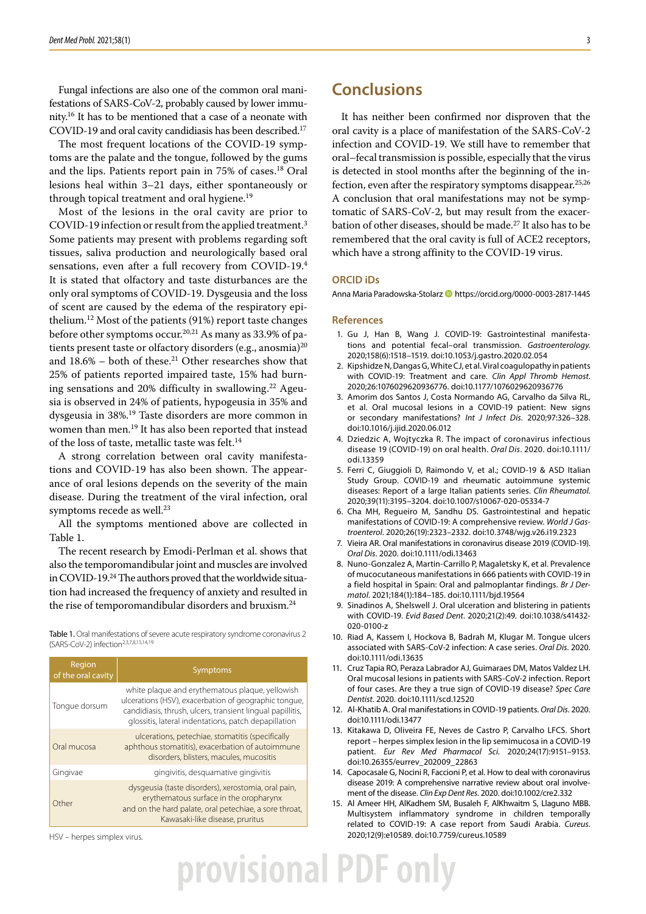Fungal infections are also one of the common oral manifestations of SARS-CoV-2, probably caused by lower immunity.16 It has to be mentioned that a case of a neonate with COVID-19 and oral cavity candidiasis has been described.17

The most frequent locations of the COVID-19 symptoms are the palate and the tongue, followed by the gums and the lips. Patients report pain in 75% of cases.<sup>18</sup> Oral lesions heal within 3–21 days, either spontaneously or through topical treatment and oral hygiene.<sup>19</sup>

Most of the lesions in the oral cavity are prior to COVID-19 infection or result from the applied treatment.<sup>3</sup> Some patients may present with problems regarding soft tissues, saliva production and neurologically based oral sensations, even after a full recovery from COVID-19.<sup>4</sup> It is stated that olfactory and taste disturbances are the only oral symptoms of COVID-19. Dysgeusia and the loss of scent are caused by the edema of the respiratory epithelium.12 Most of the patients (91%) report taste changes before other symptoms occur.<sup>20,21</sup> As many as 33.9% of patients present taste or olfactory disorders (e.g., anosmia)<sup>20</sup> and  $18.6\%$  – both of these.<sup>21</sup> Other researches show that 25% of patients reported impaired taste, 15% had burning sensations and 20% difficulty in swallowing.<sup>22</sup> Ageusia is observed in 24% of patients, hypogeusia in 35% and dysgeusia in 38%.19 Taste disorders are more common in women than men.19 It has also been reported that instead of the loss of taste, metallic taste was felt.14

A strong correlation between oral cavity manifestations and COVID-19 has also been shown. The appearance of oral lesions depends on the severity of the main disease. During the treatment of the viral infection, oral symptoms recede as well.<sup>23</sup>

All the symptoms mentioned above are collected in Table 1.

The recent research by Emodi-Perlman et al. shows that also the temporomandibular joint and muscles are involved in COVID-19.<sup>24</sup> The authors proved that the worldwide situation had increased the frequency of anxiety and resulted in the rise of temporomandibular disorders and bruxism.<sup>24</sup>

Table 1. Oral manifestations of severe acute respiratory syndrome coronavirus 2 (SARS-CoV-2) infection2,3,7,8,13,14,19

| Region<br>of the oral cavity | <b>Symptoms</b>                                                                                                                                                                                                                |
|------------------------------|--------------------------------------------------------------------------------------------------------------------------------------------------------------------------------------------------------------------------------|
| Tonque dorsum                | white plaque and erythematous plaque, yellowish<br>ulcerations (HSV), exacerbation of geographic tongue,<br>candidiasis, thrush, ulcers, transient lingual papillitis,<br>glossitis, lateral indentations, patch depapillation |
| Oral mucosa                  | ulcerations, petechiae, stomatitis (specifically<br>aphthous stomatitis), exacerbation of autoimmune<br>disorders, blisters, macules, mucositis                                                                                |
| Gingivae                     | gingivitis, desquamative gingivitis                                                                                                                                                                                            |
| Other                        | dysgeusia (taste disorders), xerostomia, oral pain,<br>erythematous surface in the oropharynx<br>and on the hard palate, oral petechiae, a sore throat,<br>Kawasaki-like disease, pruritus                                     |

HSV – herpes simplex virus.

### **Conclusions**

It has neither been confirmed nor disproven that the oral cavity is a place of manifestation of the SARS-CoV-2 infection and COVID-19. We still have to remember that oral–fecal transmission is possible, especially that the virus is detected in stool months after the beginning of the infection, even after the respiratory symptoms disappear.<sup>25,26</sup> A conclusion that oral manifestations may not be symptomatic of SARS-CoV-2, but may result from the exacerbation of other diseases, should be made.27 It also has to be remembered that the oral cavity is full of ACE2 receptors, which have a strong affinity to the COVID-19 virus.

#### **ORCID iDs**

Anna Maria Paradowska-Stolarz **b** https://orcid.org/0000-0003-2817-1445

#### **References**

- 1. Gu J, Han B, Wang J. COVID-19: Gastrointestinal manifestations and potential fecal–oral transmission. *Gastroenterology*. 2020;158(6):1518–1519. doi:10.1053/j.gastro.2020.02.054
- 2. Kipshidze N, Dangas G, White CJ, et al. Viral coagulopathy in patients with COVID-19: Treatment and care. *Clin Appl Thromb Hemost*. 2020;26:1076029620936776. doi:10.1177/1076029620936776
- 3. Amorim dos Santos J, Costa Normando AG, Carvalho da Silva RL, et al. Oral mucosal lesions in a COVID-19 patient: New signs or secondary manifestations? *Int J Infect Dis*. 2020;97:326–328. doi:10.1016/j.ijid.2020.06.012
- 4. Dziedzic A, Wojtyczka R. The impact of coronavirus infectious disease 19 (COVID-19) on oral health. *Oral Dis*. 2020. doi:10.1111/ odi.13359
- 5. Ferri C, Giuggioli D, Raimondo V, et al.; COVID-19 & ASD Italian Study Group. COVID-19 and rheumatic autoimmune systemic diseases: Report of a large Italian patients series. *Clin Rheumatol*. 2020;39(11):3195–3204. doi:10.1007/s10067-020-05334-7
- 6. Cha MH, Regueiro M, Sandhu DS. Gastrointestinal and hepatic manifestations of COVID-19: A comprehensive review. *World J Gastroenterol*. 2020;26(19):2323–2332. doi:10.3748/wjg.v26.i19.2323
- 7. Vieira AR. Oral manifestations in coronavirus disease 2019 (COVID-19). *Oral Dis*. 2020. doi:10.1111/odi.13463
- 8. Nuno-Gonzalez A, Martin-Carrillo P, Magaletsky K, et al. Prevalence of mucocutaneous manifestations in 666 patients with COVID-19 in a field hospital in Spain: Oral and palmoplantar findings. *Br J Dermatol*. 2021;184(1):184–185. doi:10.1111/bjd.19564
- 9. Sinadinos A, Shelswell J. Oral ulceration and blistering in patients with COVID-19. *Evid Based Dent*. 2020;21(2):49. doi:10.1038/s41432- 020-0100-z
- 10. Riad A, Kassem I, Hockova B, Badrah M, Klugar M. Tongue ulcers associated with SARS-CoV-2 infection: A case series. *Oral Dis*. 2020. doi:10.1111/odi.13635
- 11. Cruz Tapia RO, Peraza Labrador AJ, Guimaraes DM, Matos Valdez LH. Oral mucosal lesions in patients with SARS-CoV-2 infection. Report of four cases. Are they a true sign of COVID-19 disease? *Spec Care Dentist*. 2020. doi:10.1111/scd.12520
- 12. Al-Khatib A. Oral manifestations in COVID-19 patients. *Oral Dis*. 2020. doi:10.1111/odi.13477
- 13. Kitakawa D, Oliveira FE, Neves de Castro P, Carvalho LFCS. Short report – herpes simplex lesion in the lip semimucosa in a COVID-19 patient. *Eur Rev Med Pharmacol Sci*. 2020;24(17):9151–9153. doi:10.26355/eurrev\_202009\_22863
- 14. Capocasale G, Nocini R, Faccioni P, et al. How to deal with coronavirus disease 2019: A comprehensive narrative review about oral involvement of the disease. *Clin Exp Dent Res*. 2020. doi:10.1002/cre2.332
- 15. Al Ameer HH, AlKadhem SM, Busaleh F, AlKhwaitm S, Llaguno MBB. Multisystem inflammatory syndrome in children temporally related to COVID-19: A case report from Saudi Arabia. *Cureus*. 2020;12(9):e10589. doi:10.7759/cureus.10589

## provisional PDF only